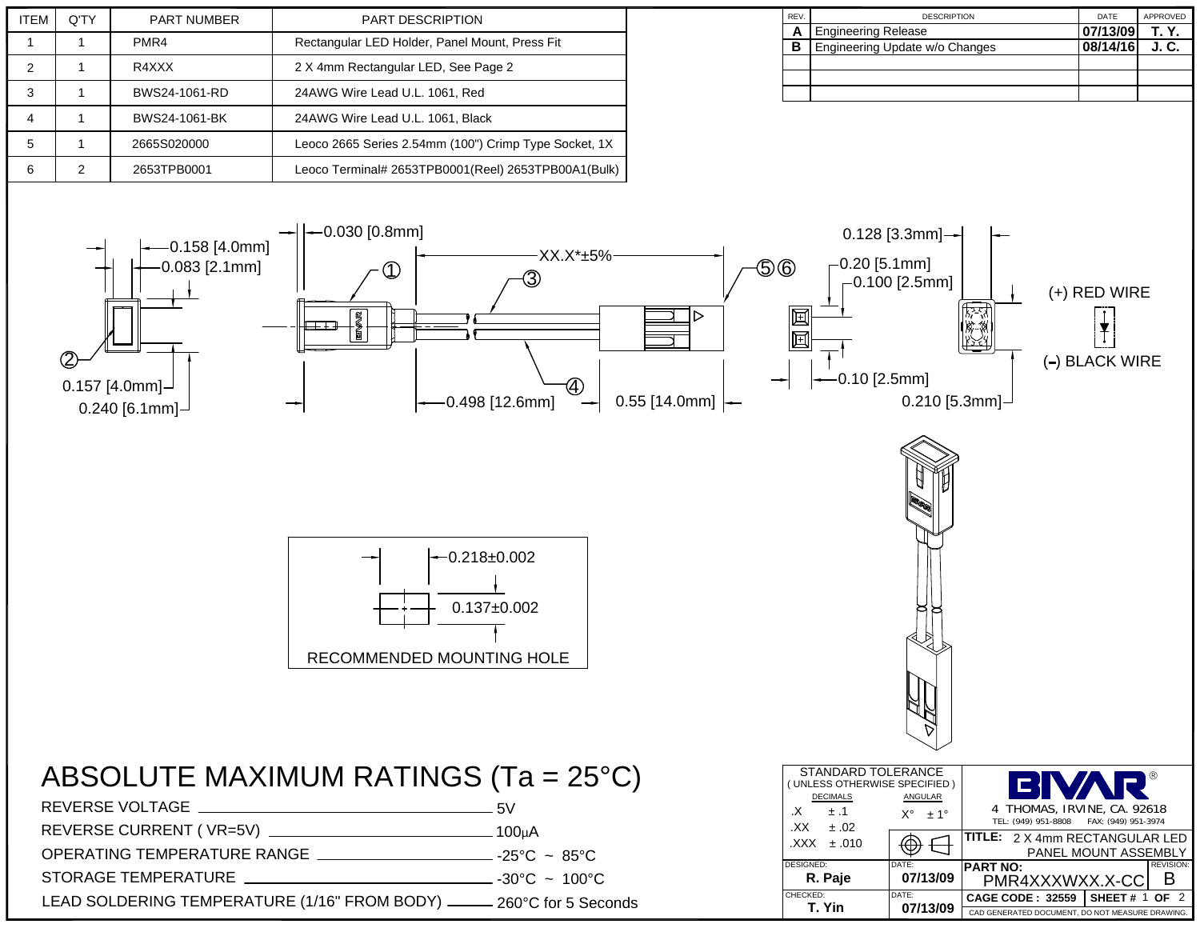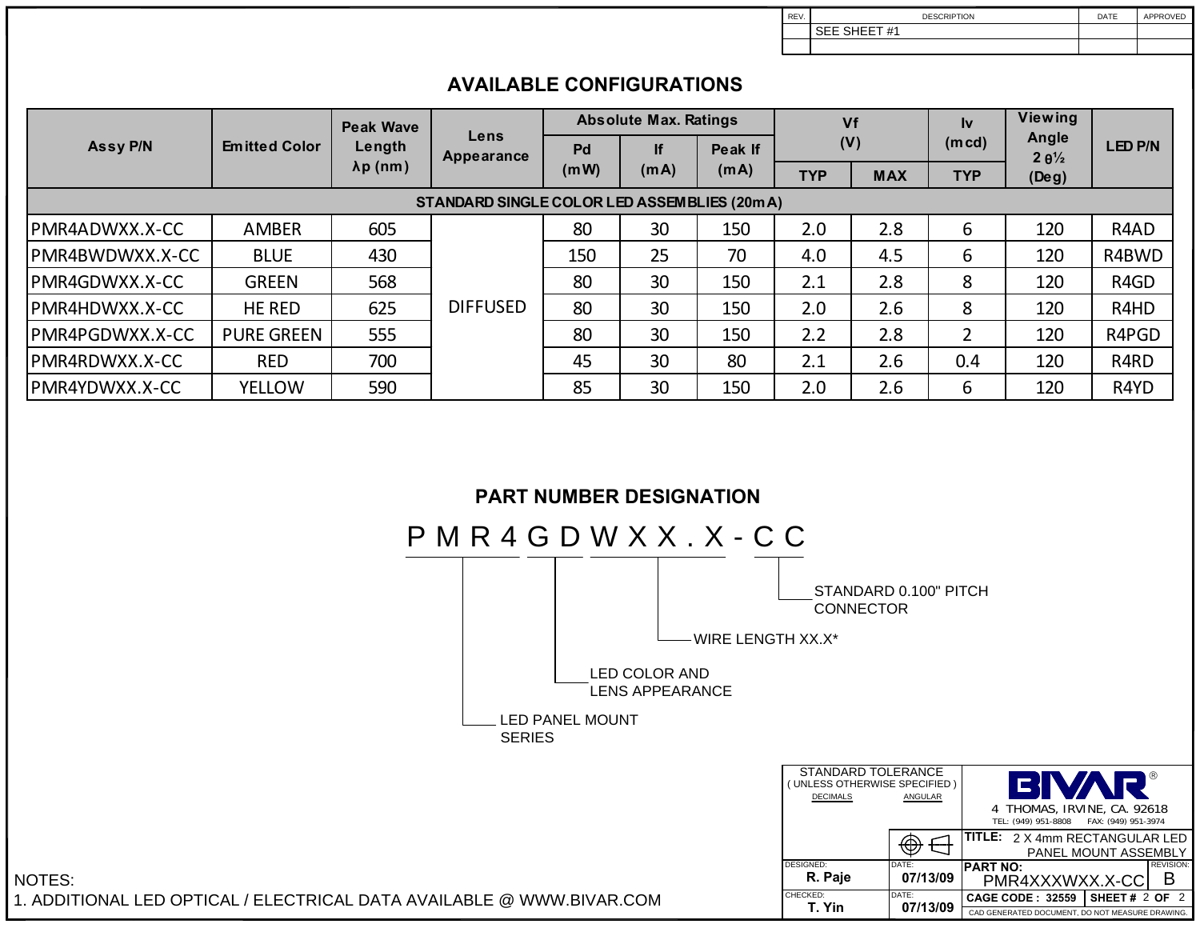SEE SHEET #1DESCRIPTION

REV.

DATE APPROVED

|                  |                      |                                                | ATALADLE VVIII IYYIN IYIYY                   |                              |            |                 |            |            |              |                                    |                               |
|------------------|----------------------|------------------------------------------------|----------------------------------------------|------------------------------|------------|-----------------|------------|------------|--------------|------------------------------------|-------------------------------|
| Assy P/N         | <b>Emitted Color</b> | <b>Peak Wave</b><br>Length<br>$\lambda p$ (nm) | Lens<br><b>Appearance</b>                    | <b>Absolute Max. Ratings</b> |            |                 | Vf         |            | $\mathbf{v}$ | <b>Viewing</b>                     |                               |
|                  |                      |                                                |                                              | Pd<br>(mW)                   | lf<br>(mA) | Peak If<br>(mA) | (V)        |            | (mcd)        | Angle<br>$2 \theta$ <sup>1/2</sup> | <b>LED P/N</b>                |
|                  |                      |                                                |                                              |                              |            |                 | <b>TYP</b> | <b>MAX</b> | <b>TYP</b>   | $($ Deg $)$                        |                               |
|                  |                      |                                                | STANDARD SINGLE COLOR LED ASSEMBLIES (20m A) |                              |            |                 |            |            |              |                                    |                               |
| IPMR4ADWXX.X-CC  | <b>AMBER</b>         | 605                                            | <b>DIFFUSED</b>                              | 80                           | 30         | 150             | 2.0        | 2.8        | 6            | 120                                | R4AD                          |
| IPMR4BWDWXX.X-CC | <b>BLUE</b>          | 430                                            |                                              | 150                          | 25         | 70              | 4.0        | 4.5        | 6            | 120                                | R4BWD                         |
| IPMR4GDWXX.X-CC  | <b>GREEN</b>         | 568                                            |                                              | 80                           | 30         | 150             | 2.1        | 2.8        | 8            | 120                                | R4GD                          |
| IPMR4HDWXX.X-CC  | <b>HE RED</b>        | 625                                            |                                              | 80                           | 30         | 150             | 2.0        | 2.6        | 8            | 120                                | R4HD                          |
| PMR4PGDWXX.X-CC  | <b>PURE GREEN</b>    | 555                                            |                                              | 80                           | 30         | 150             | 2.2        | 2.8        | 2            | 120                                | R4PGD                         |
| PMR4RDWXX.X-CC   | <b>RED</b>           | 700                                            |                                              | 45                           | 30         | 80              | 2.1        | 2.6        | 0.4          | 120                                | R <sub>4</sub> R <sub>D</sub> |
| IPMR4YDWXX.X-CC  | <b>YELLOW</b>        | 590                                            |                                              | 85                           | 30         | 150             | 2.0        | 2.6        | 6            | 120                                | R4YD                          |

## **AVAILABLE CONFIGURATIONS**

## **PART NUMBER DESIGNATION**

NOTES: